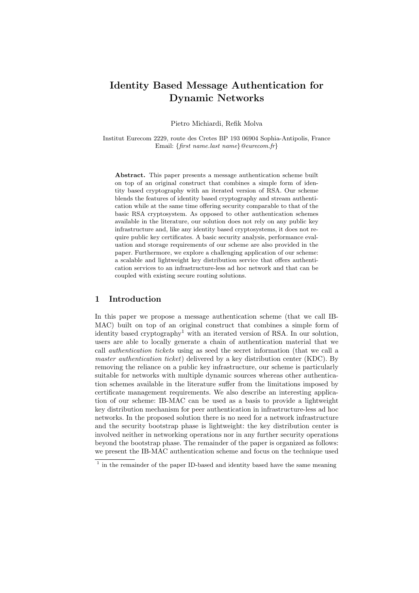# Identity Based Message Authentication for Dynamic Networks

Pietro Michiardi, Refik Molva

Institut Eurecom 2229, route des Cretes BP 193 06904 Sophia-Antipolis, France Email: {first name.last name}@eurecom.fr}

Abstract. This paper presents a message authentication scheme built on top of an original construct that combines a simple form of identity based cryptography with an iterated version of RSA. Our scheme blends the features of identity based cryptography and stream authentication while at the same time offering security comparable to that of the basic RSA cryptosystem. As opposed to other authentication schemes available in the literature, our solution does not rely on any public key infrastructure and, like any identity based cryptosystems, it does not require public key certificates. A basic security analysis, performance evaluation and storage requirements of our scheme are also provided in the paper. Furthermore, we explore a challenging application of our scheme: a scalable and lightweight key distribution service that offers authentication services to an infrastructure-less ad hoc network and that can be coupled with existing secure routing solutions.

## 1 Introduction

In this paper we propose a message authentication scheme (that we call IB-MAC) built on top of an original construct that combines a simple form of identity based cryptography<sup>1</sup> with an iterated version of RSA. In our solution, users are able to locally generate a chain of authentication material that we call authentication tickets using as seed the secret information (that we call a master authentication ticket) delivered by a key distribution center (KDC). By removing the reliance on a public key infrastructure, our scheme is particularly suitable for networks with multiple dynamic sources whereas other authentication schemes available in the literature suffer from the limitations imposed by certificate management requirements. We also describe an interesting application of our scheme: IB-MAC can be used as a basis to provide a lightweight key distribution mechanism for peer authentication in infrastructure-less ad hoc networks. In the proposed solution there is no need for a network infrastructure and the security bootstrap phase is lightweight: the key distribution center is involved neither in networking operations nor in any further security operations beyond the bootstrap phase. The remainder of the paper is organized as follows: we present the IB-MAC authentication scheme and focus on the technique used

<sup>&</sup>lt;sup>1</sup> in the remainder of the paper ID-based and identity based have the same meaning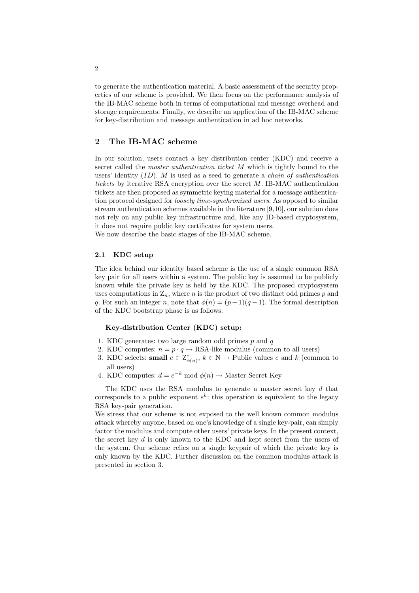to generate the authentication material. A basic assessment of the security properties of our scheme is provided. We then focus on the performance analysis of the IB-MAC scheme both in terms of computational and message overhead and storage requirements. Finally, we describe an application of the IB-MAC scheme for key-distribution and message authentication in ad hoc networks.

# 2 The IB-MAC scheme

In our solution, users contact a key distribution center (KDC) and receive a secret called the master authentication ticket M which is tightly bound to the users' identity  $(ID)$ . M is used as a seed to generate a *chain of authentication* tickets by iterative RSA encryption over the secret  $M$ . IB-MAC authentication tickets are then proposed as symmetric keying material for a message authentication protocol designed for *loosely time-synchronized users*. As opposed to similar stream authentication schemes available in the literature [9,10], our solution does not rely on any public key infrastructure and, like any ID-based cryptosystem, it does not require public key certificates for system users.

We now describe the basic stages of the IB-MAC scheme.

## 2.1 KDC setup

The idea behind our identity based scheme is the use of a single common RSA key pair for all users within a system. The public key is assumed to be publicly known while the private key is held by the KDC. The proposed cryptosystem uses computations in  $Z_n$ , where n is the product of two distinct odd primes p and q. For such an integer n, note that  $\phi(n) = (p-1)(q-1)$ . The formal description of the KDC bootstrap phase is as follows.

#### Key-distribution Center (KDC) setup:

- 1. KDC generates: two large random odd primes  $p$  and  $q$
- 2. KDC computes:  $n = p \cdot q \rightarrow$  RSA-like modulus (common to all users)
- 3. KDC selects: **small**  $e \in \mathbb{Z}_{\phi(n)}^*$ ,  $k \in \mathbb{N} \to$  Public values e and k (common to all users)
- 4. KDC computes:  $d = e^{-k} \mod \phi(n) \rightarrow$  Master Secret Key

The KDC uses the RSA modulus to generate a master secret key d that corresponds to a public exponent  $e^k$ : this operation is equivalent to the legacy RSA key-pair generation.

We stress that our scheme is not exposed to the well known common modulus attack whereby anyone, based on one's knowledge of a single key-pair, can simply factor the modulus and compute other users' private keys. In the present context, the secret key  $d$  is only known to the KDC and kept secret from the users of the system. Our scheme relies on a single keypair of which the private key is only known by the KDC. Further discussion on the common modulus attack is presented in section 3.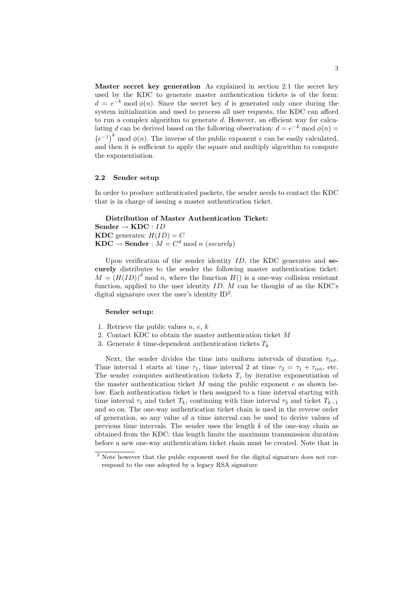Master secret key generation As explained in section 2.1 the secret key used by the KDC to generate master authentication tickets is of the form:  $d = e^{-k} \mod \phi(n)$ . Since the secret key d is generated only once during the system initialization and used to process all user requests, the KDC can afford to run a complex algorithm to generate d. However, an efficient way for calculating d can be derived based on the following observation:  $d = e^{-k} \mod \phi(n)$ ¡  $(e^{-1})^k$  mod  $\phi(n)$ . The inverse of the public exponent e can be easily calculated, and then it is sufficient to apply the square and multiply algorithm to compute the exponentiation.

#### 2.2 Sender setup

In order to produce authenticated packets, the sender needs to contact the KDC that is in charge of issuing a master authentication ticket.

Distribution of Master Authentication Ticket:  $Sender \rightarrow KDC : ID$ **KDC** generates:  $H(ID) = C$  $\textbf{KDC} \rightarrow \textbf{Sender}: M = C^d \bmod n \ (securely)$ 

Upon verification of the sender identity  $ID$ , the KDC generates and securely distributes to the sender the following master authentication ticket:  $M = (H(ID))^d$  mod n, where the function  $H()$  is a one-way collision resistant function, applied to the user identity  $ID. M$  can be thought of as the KDC's digital signature over the user's identity  $ID^2$ .

#### Sender setup:

- 1. Retrieve the public values  $n, e, k$
- 2. Contact KDC to obtain the master authentication ticket M
- 3. Generate k time-dependent authentication tickets  $T_k$

Next, the sender divides the time into uniform intervals of duration  $\tau_{int}$ . Time interval 1 starts at time  $\tau_1$ , time interval 2 at time  $\tau_2 = \tau_1 + \tau_{int}$ , etc. The sender computes authentication tickets  $T_i$  by iterative exponentiation of the master authentication ticket  $M$  using the public exponent  $e$  as shown below. Each authentication ticket is then assigned to a time interval starting with time interval  $\tau_1$  and ticket  $T_k$ , continuing with time interval  $\tau_2$  and ticket  $T_{k-1}$ and so on. The one-way authentication ticket chain is used in the reverse order of generation, so any value of a time interval can be used to derive values of previous time intervals. The sender uses the length  $k$  of the one-way chain as obtained from the KDC: this length limits the maximum transmission duration before a new one-way authentication ticket chain must be created. Note that in

<sup>&</sup>lt;sup>2</sup> Note however that the public exponent used for the digital signature does not correspond to the one adopted by a legacy RSA signature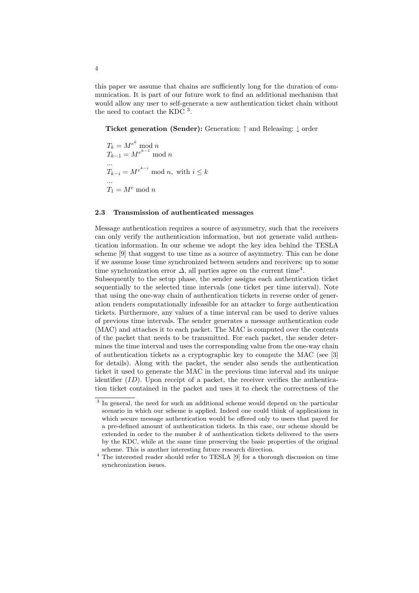this paper we assume that chains are sufficiently long for the duration of communication. It is part of our future work to find an additional mechanism that would allow any user to self-generate a new authentication ticket chain without the need to contact the KDC  $3$ .

Ticket generation (Sender): Generation: ↑ and Releasing: ↓ order

 $T_k = M^{e^k} \mod n$  $T_{k-1} = M^{e^{k-1}} \mod n$ ...  $T_{k-i} = M^{e^{k-i}} \mod n$ , with  $i \leq k$ ...  $T_1 = M^e \bmod n$ 

#### 2.3 Transmission of authenticated messages

Message authentication requires a source of asymmetry, such that the receivers can only verify the authentication information, but not generate valid authentication information. In our scheme we adopt the key idea behind the TESLA scheme [9] that suggest to use time as a source of asymmetry. This can be done if we assume loose time synchronized between senders and receivers: up to some time synchronization error  $\Delta$ , all parties agree on the current time<sup>4</sup>.

Subsequently to the setup phase, the sender assigns each authentication ticket sequentially to the selected time intervals (one ticket per time interval). Note that using the one-way chain of authentication tickets in reverse order of generation renders computationally infeasible for an attacker to forge authentication tickets. Furthermore, any values of a time interval can be used to derive values of previous time intervals. The sender generates a message authentication code (MAC) and attaches it to each packet. The MAC is computed over the contents of the packet that needs to be transmitted. For each packet, the sender determines the time interval and uses the corresponding value from the one-way chain of authentication tickets as a cryptographic key to compute the MAC (see [3] for details). Along with the packet, the sender also sends the authentication ticket it used to generate the MAC in the previous time interval and its unique identifier (ID). Upon receipt of a packet, the receiver verifies the authentication ticket contained in the packet and uses it to check the correctness of the

<sup>&</sup>lt;sup>3</sup> In general, the need for such an additional scheme would depend on the particular scenario in which our scheme is applied. Indeed one could think of applications in which secure message authentication would be offered only to users that payed for a pre-defined amount of authentication tickets. In this case, our scheme should be extended in order to the number  $k$  of authentication tickets delivered to the users by the KDC, while at the same time preserving the basic properties of the original scheme. This is another interesting future research direction.

<sup>4</sup> The interested reader should refer to TESLA [9] for a thorough discussion on time synchronization issues.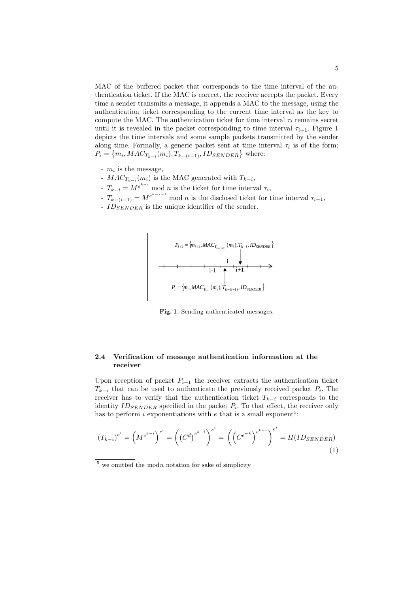MAC of the buffered packet that corresponds to the time interval of the authentication ticket. If the MAC is correct, the receiver accepts the packet. Every time a sender transmits a message, it appends a MAC to the message, using the authentication ticket corresponding to the current time interval as the key to compute the MAC. The authentication ticket for time interval  $\tau_i$  remains secret until it is revealed in the packet corresponding to time interval  $\tau_{i+1}$ . Figure 1 depicts the time intervals and some sample packets transmitted by the sender along time. Formally, a generic packet sent at time interval  $\tau_i$  is of the form: along time. Formally, a generic packet sent at time in  $P_i = \{m_i, MAC_{T_{k-i}}(m_i), T_{k-(i-1)}, IDEENDER\}$  where:

- $m_i$  is the message,
- $MAC_{T_{k-i}}(m_i)$  is the MAC generated with  $T_{k-i}$ ,
- $T_{k-i} = M^{e^{k-i}} \mod n$  is the ticket for time interval  $\tau_i$ ,
- $T_{k-(i-1)} = M^{e^{k-i-1}}$  mod n is the disclosed ticket for time interval  $\tau_{i-1}$ ,
- $ID_{SENDER}$  is the unique identifier of the sender.



Fig. 1. Sending authenticated messages.

# 2.4 Verification of message authentication information at the receiver

Upon reception of packet  $P_{i+1}$  the receiver extracts the authentication ticket  $T_{k-i}$  that can be used to authenticate the previously received packet  $P_i$ . The receiver has to verify that the authentication ticket  $T_{k-i}$  corresponds to the identity  $ID_{SENDER}$  specified in the packet  $P_i$ . To that effect, the receiver only has to perform i exponentiations with e that is a small exponent<sup>5</sup>:

$$
(T_{k-i})^{e^i} = \left(M^{e^{k-i}}\right)^{e^i} = \left(\left(C^d\right)^{e^{k-i}}\right)^{e^i} = \left(\left(C^{e^{-k}}\right)^{e^{k-i}}\right)^{e^i} = H(ID_{SENDER})
$$
\n(1)

 $5$  we omitted the modn notation for sake of simplicity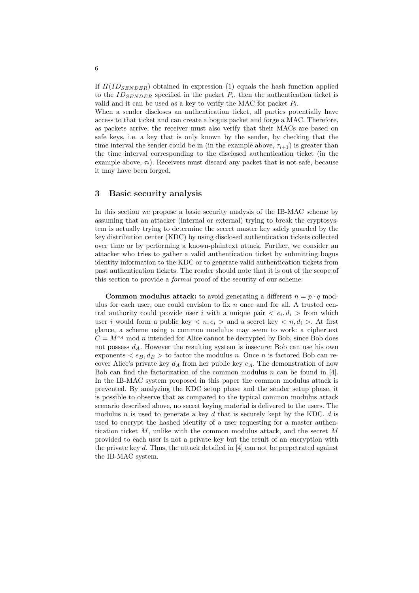If  $H(ID_{SENDER})$  obtained in expression (1) equals the hash function applied to the  $ID_{SENDER}$  specified in the packet  $P_i$ , then the authentication ticket is valid and it can be used as a key to verify the MAC for packet  $P_i$ .

When a sender discloses an authentication ticket, all parties potentially have access to that ticket and can create a bogus packet and forge a MAC. Therefore, as packets arrive, the receiver must also verify that their MACs are based on safe keys, i.e. a key that is only known by the sender, by checking that the time interval the sender could be in (in the example above,  $\tau_{i+1}$ ) is greater than the time interval corresponding to the disclosed authentication ticket (in the example above,  $\tau_i$ ). Receivers must discard any packet that is not safe, because it may have been forged.

# 3 Basic security analysis

In this section we propose a basic security analysis of the IB-MAC scheme by assuming that an attacker (internal or external) trying to break the cryptosystem is actually trying to determine the secret master key safely guarded by the key distribution center (KDC) by using disclosed authentication tickets collected over time or by performing a known-plaintext attack. Further, we consider an attacker who tries to gather a valid authentication ticket by submitting bogus identity information to the KDC or to generate valid authentication tickets from past authentication tickets. The reader should note that it is out of the scope of this section to provide a formal proof of the security of our scheme.

**Common modulus attack:** to avoid generating a different  $n = p \cdot q$  modulus for each user, one could envision to fix  $n$  once and for all. A trusted central authority could provide user i with a unique pair  $\langle e_i, d_i \rangle$  from which user i would form a public key  $\langle n, e_i \rangle$  and a secret key  $\langle n, d_i \rangle$ . At first glance, a scheme using a common modulus may seem to work: a ciphertext  $C = M^{e_A}$  mod *n* intended for Alice cannot be decrypted by Bob, since Bob does not possess  $d_A$ . However the resulting system is insecure: Bob can use his own exponents  $\langle e_B, d_B \rangle$  to factor the modulus *n*. Once *n* is factored Bob can recover Alice's private key  $d_A$  from her public key  $e_A$ . The demonstration of how Bob can find the factorization of the common modulus  $n$  can be found in [4]. In the IB-MAC system proposed in this paper the common modulus attack is prevented. By analyzing the KDC setup phase and the sender setup phase, it is possible to observe that as compared to the typical common modulus attack scenario described above, no secret keying material is delivered to the users. The modulus n is used to generate a key d that is securely kept by the KDC.  $d$  is used to encrypt the hashed identity of a user requesting for a master authentication ticket  $M$ , unlike with the common modulus attack, and the secret  $M$ provided to each user is not a private key but the result of an encryption with the private key d. Thus, the attack detailed in  $[4]$  can not be perpetrated against the IB-MAC system.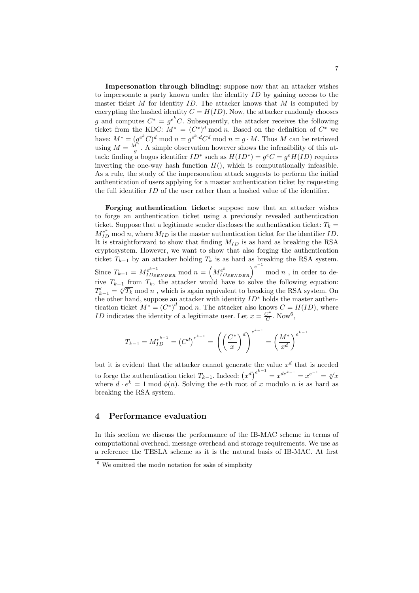Impersonation through blinding: suppose now that an attacker wishes to impersonate a party known under the identity ID by gaining access to the master ticket  $M$  for identity  $ID$ . The attacker knows that  $M$  is computed by encrypting the hashed identity  $C = H(ID)$ . Now, the attacker randomly chooses g and computes  $C^* = g^{e^k}C$ . Subsequently, the attacker receives the following ticket from the KDC:  $M^* = (C^*)^d \mod n$ . Based on the definition of  $C^*$  we have:  $M^* = (g^{e^k} C)^d \mod n = g^{e^k \cdot d} C^d \mod n = g \cdot M$ . Thus M can be retrieved using  $M = \frac{M^*}{g}$ . A simple observation however shows the infeasibility of this attack: finding a bogus identifier  $ID^*$  such as  $H(ID^*) = g^eC = g^eH(ID)$  requires inverting the one-way hash function  $H()$ , which is computationally infeasible. As a rule, the study of the impersonation attack suggests to perform the initial authentication of users applying for a master authentication ticket by requesting the full identifier ID of the user rather than a hashed value of the identifier.

Forging authentication tickets: suppose now that an attacker wishes to forge an authentication ticket using a previously revealed authentication ticket. Suppose that a legitimate sender discloses the authentication ticket:  $T_k =$  $M_{ID}^{e^k}$  mod n, where  $M_{ID}$  is the master authentication ticket for the identifier ID. It is straightforward to show that finding  $M_{ID}$  is as hard as breaking the RSA cryptosystem. However, we want to show that also forging the authentication ticket  $T_{k-1}$  by an attacker holding  $T_k$  is as hard as breaking the RSA system. Since  $T_{k-1} = M_{ID_{SENDER}}^{e^{k-1}}$  mod  $n =$  $\frac{1}{\sqrt{2}}$  $M_{II}^{e^k}$  $\left(\frac{e^{k}}{ID_{SENDER}}\right)^{e^{-1}}$  mod *n*, in order to derive  $T_{k-1}$  from  $T_k$ , the attacker would have to solve the following equation: The  $I_{k-1}$  from  $I_k$ , the attacker would have to solve the following equation:<br> $T'_{k-1} = \sqrt[e]{T_k}$  mod n, which is again equivalent to breaking the RSA system. On the other hand, suppose an attacker with identity  $ID^*$  holds the master authentication ticket  $M^* = (C^*)^d \mod n$ . The attacker also knows  $C = H(ID)$ , where *ID* indicates the identity of a legitimate user. Let  $x = \frac{C^*}{C}$  $\frac{C^*}{C}$ . Now<sup>6</sup>,

$$
T_{k-1} = M_{ID}^{e^{k-1}} = (C^d)^{e^{k-1}} = \left(\left(\frac{C^*}{x}\right)^d\right)^{e^{k-1}} = \left(\frac{M^*}{x^d}\right)^{e^{k-1}}
$$

but it is evident that the attacker cannot generate the value  $x<sup>d</sup>$  that is needed to forge the authentication ticket  $T_{k-1}$ . Indeed:  $(x^d)^{e^{k-1}} = x^{de^{k-1}} = x^{e^{-1}} = \sqrt[n]{x}$ where  $d \cdot e^k = 1 \text{ mod } \phi(n)$ . Solving the e-th root of x modulo n is as hard as breaking the RSA system.

# 4 Performance evaluation

In this section we discuss the performance of the IB-MAC scheme in terms of computational overhead, message overhead and storage requirements. We use as a reference the TESLA scheme as it is the natural basis of IB-MAC. At first

<sup>&</sup>lt;sup>6</sup> We omitted the modn notation for sake of simplicity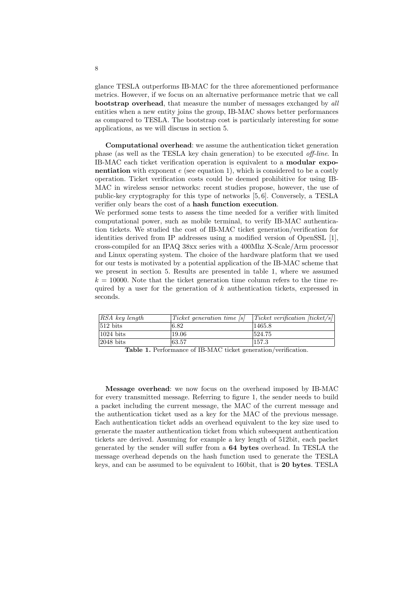glance TESLA outperforms IB-MAC for the three aforementioned performance metrics. However, if we focus on an alternative performance metric that we call bootstrap overhead, that measure the number of messages exchanged by all entities when a new entity joins the group, IB-MAC shows better performances as compared to TESLA. The bootstrap cost is particularly interesting for some applications, as we will discuss in section 5.

Computational overhead: we assume the authentication ticket generation phase (as well as the TESLA key chain generation) to be executed off-line. In IB-MAC each ticket verification operation is equivalent to a modular exponentiation with exponent  $e$  (see equation 1), which is considered to be a costly operation. Ticket verification costs could be deemed prohibitive for using IB-MAC in wireless sensor networks: recent studies propose, however, the use of public-key cryptography for this type of networks [5, 6]. Conversely, a TESLA verifier only bears the cost of a hash function execution.

We performed some tests to assess the time needed for a verifier with limited computational power, such as mobile terminal, to verify IB-MAC authentication tickets. We studied the cost of IB-MAC ticket generation/verification for identities derived from IP addresses using a modified version of OpenSSL [1], cross-compiled for an IPAQ 38xx series with a 400Mhz X-Scale/Arm processor and Linux operating system. The choice of the hardware platform that we used for our tests is motivated by a potential application of the IB-MAC scheme that we present in section 5. Results are presented in table 1, where we assumed  $k = 10000$ . Note that the ticket generation time column refers to the time required by a user for the generation of k authentication tickets, expressed in seconds.

| $ RSA\;key\;length$   | Ticket generation time [s] | $Ticket$ verification $[ticket/s]$ |
|-----------------------|----------------------------|------------------------------------|
| $512 \; bits$         | 6.82                       | 1465.8                             |
| $1024$ bits           | 19.06                      | 524.75                             |
| $ 2048 \text{ bits} $ | 63.57                      | 157.3                              |

Table 1. Performance of IB-MAC ticket generation/verification.

Message overhead: we now focus on the overhead imposed by IB-MAC for every transmitted message. Referring to figure 1, the sender needs to build a packet including the current message, the MAC of the current message and the authentication ticket used as a key for the MAC of the previous message. Each authentication ticket adds an overhead equivalent to the key size used to generate the master authentication ticket from which subsequent authentication tickets are derived. Assuming for example a key length of 512bit, each packet generated by the sender will suffer from a 64 bytes overhead. In TESLA the message overhead depends on the hash function used to generate the TESLA keys, and can be assumed to be equivalent to 160bit, that is 20 bytes. TESLA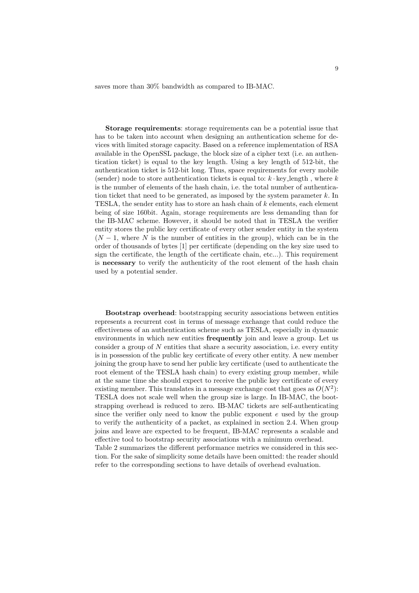saves more than 30% bandwidth as compared to IB-MAC.

Storage requirements: storage requirements can be a potential issue that has to be taken into account when designing an authentication scheme for devices with limited storage capacity. Based on a reference implementation of RSA available in the OpenSSL package, the block size of a cipher text (i.e. an authentication ticket) is equal to the key length. Using a key length of 512-bit, the authentication ticket is 512-bit long. Thus, space requirements for every mobile (sender) node to store authentication tickets is equal to:  $k \cdot \text{key-length}$ , where k is the number of elements of the hash chain, i.e. the total number of authentication ticket that need to be generated, as imposed by the system parameter  $k$ . In TESLA, the sender entity has to store an hash chain of  $k$  elements, each element being of size 160bit. Again, storage requirements are less demanding than for the IB-MAC scheme. However, it should be noted that in TESLA the verifier entity stores the public key certificate of every other sender entity in the system  $(N-1,$  where N is the number of entities in the group), which can be in the order of thousands of bytes [1] per certificate (depending on the key size used to sign the certificate, the length of the certificate chain, etc...). This requirement is necessary to verify the authenticity of the root element of the hash chain used by a potential sender.

Bootstrap overhead: bootstrapping security associations between entities represents a recurrent cost in terms of message exchange that could reduce the effectiveness of an authentication scheme such as TESLA, especially in dynamic environments in which new entities frequently join and leave a group. Let us consider a group of  $N$  entities that share a security association, i.e. every entity is in possession of the public key certificate of every other entity. A new member joining the group have to send her public key certificate (used to authenticate the root element of the TESLA hash chain) to every existing group member, while at the same time she should expect to receive the public key certificate of every existing member. This translates in a message exchange cost that goes as  $O(N^2)$ : TESLA does not scale well when the group size is large. In IB-MAC, the bootstrapping overhead is reduced to zero. IB-MAC tickets are self-authenticating since the verifier only need to know the public exponent  $e$  used by the group to verify the authenticity of a packet, as explained in section 2.4. When group joins and leave are expected to be frequent, IB-MAC represents a scalable and effective tool to bootstrap security associations with a minimum overhead. Table 2 summarizes the different performance metrics we considered in this section. For the sake of simplicity some details have been omitted: the reader should refer to the corresponding sections to have details of overhead evaluation.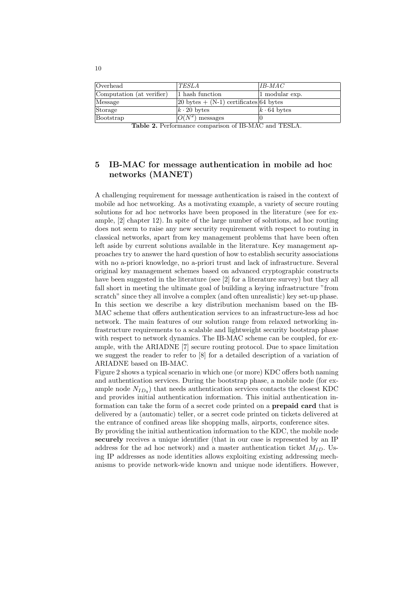| Overhead                  | TESLA                                             | $\vert$ IB-MAC      |
|---------------------------|---------------------------------------------------|---------------------|
| Computation (at verifier) | 1 hash function                                   | 1 modular exp.      |
| Message                   | $ 20 \text{ bytes} + (N-1)$ certificates 64 bytes |                     |
| Storage                   | $k \cdot 20$ bytes                                | $ k \cdot 64$ bytes |
| Bootstrap                 | $\sqrt{O(N^2)}$ messages                          |                     |

Table 2. Performance comparison of IB-MAC and TESLA.

# 5 IB-MAC for message authentication in mobile ad hoc networks (MANET)

A challenging requirement for message authentication is raised in the context of mobile ad hoc networking. As a motivating example, a variety of secure routing solutions for ad hoc networks have been proposed in the literature (see for example, [2] chapter 12). In spite of the large number of solutions, ad hoc routing does not seem to raise any new security requirement with respect to routing in classical networks, apart from key management problems that have been often left aside by current solutions available in the literature. Key management approaches try to answer the hard question of how to establish security associations with no a-priori knowledge, no a-priori trust and lack of infrastructure. Several original key management schemes based on advanced cryptographic constructs have been suggested in the literature (see [2] for a literature survey) but they all fall short in meeting the ultimate goal of building a keying infrastructure "from scratch" since they all involve a complex (and often unrealistic) key set-up phase. In this section we describe a key distribution mechanism based on the IB-MAC scheme that offers authentication services to an infrastructure-less ad hoc network. The main features of our solution range from relaxed networking infrastructure requirements to a scalable and lightweight security bootstrap phase with respect to network dynamics. The IB-MAC scheme can be coupled, for example, with the ARIADNE [7] secure routing protocol. Due to space limitation we suggest the reader to refer to [8] for a detailed description of a variation of ARIADNE based on IB-MAC.

Figure 2 shows a typical scenario in which one (or more) KDC offers both naming and authentication services. During the bootstrap phase, a mobile node (for example node  $N_{ID_9}$ ) that needs authentication services contacts the closest KDC and provides initial authentication information. This initial authentication information can take the form of a secret code printed on a prepaid card that is delivered by a (automatic) teller, or a secret code printed on tickets delivered at the entrance of confined areas like shopping malls, airports, conference sites.

By providing the initial authentication information to the KDC, the mobile node securely receives a unique identifier (that in our case is represented by an IP address for the ad hoc network) and a master authentication ticket  $M_{ID}$ . Using IP addresses as node identities allows exploiting existing addressing mechanisms to provide network-wide known and unique node identifiers. However,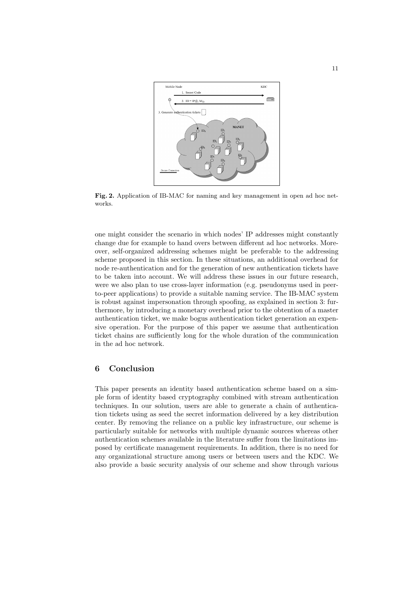

Fig. 2. Application of IB-MAC for naming and key management in open ad hoc networks.

one might consider the scenario in which nodes' IP addresses might constantly change due for example to hand overs between different ad hoc networks. Moreover, self-organized addressing schemes might be preferable to the addressing scheme proposed in this section. In these situations, an additional overhead for node re-authentication and for the generation of new authentication tickets have to be taken into account. We will address these issues in our future research, were we also plan to use cross-layer information (e.g. pseudonyms used in peerto-peer applications) to provide a suitable naming service. The IB-MAC system is robust against impersonation through spoofing, as explained in section 3: furthermore, by introducing a monetary overhead prior to the obtention of a master authentication ticket, we make bogus authentication ticket generation an expensive operation. For the purpose of this paper we assume that authentication ticket chains are sufficiently long for the whole duration of the communication in the ad hoc network.

# 6 Conclusion

This paper presents an identity based authentication scheme based on a simple form of identity based cryptography combined with stream authentication techniques. In our solution, users are able to generate a chain of authentication tickets using as seed the secret information delivered by a key distribution center. By removing the reliance on a public key infrastructure, our scheme is particularly suitable for networks with multiple dynamic sources whereas other authentication schemes available in the literature suffer from the limitations imposed by certificate management requirements. In addition, there is no need for any organizational structure among users or between users and the KDC. We also provide a basic security analysis of our scheme and show through various